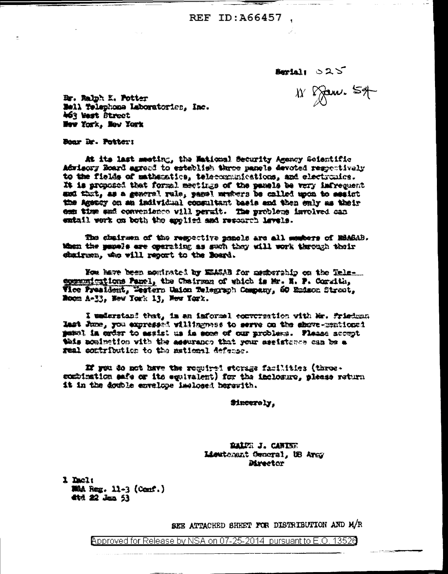**REF ID: A66457** 

Beriai 025

 $W$   $\gamma$  and  $\gamma$ 

Br. Ralph K. Potter Mell Telephone Laboratories, Inc. 463 Best Street Mow York, New York

Bear Dr. Patter:

At its last meeting, the Maticus) Security Agency Seientific Advisory Board agreed to establish three panels devoted respectively to the fields of mathematics, telecommunications, and electronics. It is proposed that formal meetings of the panels be very infrequent mud that, as a general rule, panel members be called upon to assist the Amency on an individual consultant basis and then enly as their can time and convenience vill permit. The problems involved can entail work on both the applied and resourch lavels.

The chairman of the respective panels are all members of ESAGAB. When the pagels are operating as such they will work through their dairsm, the vill report to the Board.

Now have been nowinated by MEASAB for memberabip on the Telecommunications Panel, the Chairman of which is Mr. E. P. Corwith, Vice President, Western Union Telegraph Company, 60 Endson Street, Room A-33, New York 13, New York.

I understand that, in an informal encycreation with Mr. Friedman Mat June, you expressed willingwess to serve on the shows-municaed panel in erder to assist us in some of our problems. Flease accept this nomination with the assurance that your essistance can be a real extribution to the mational defense.

If you do not have the reguired storage facilities (throecombination safe or its equivalent) for the inclosure, please return it in the double envelope laglosed bergwith.

Sincerely.

BALZE J. CANINE Lieutomant General, US Army Mreetor

1 Dacl: Mid Reg. 11-3 (Conf.) **载 经 Jan 53** 

SEE ATTACHED SHEET FOR DISTRIBUTION AND M/R

<code>Approved</code> for Release by NSA on 07-25-2014  $\,$  pursuant to E.O. 1352 $6$